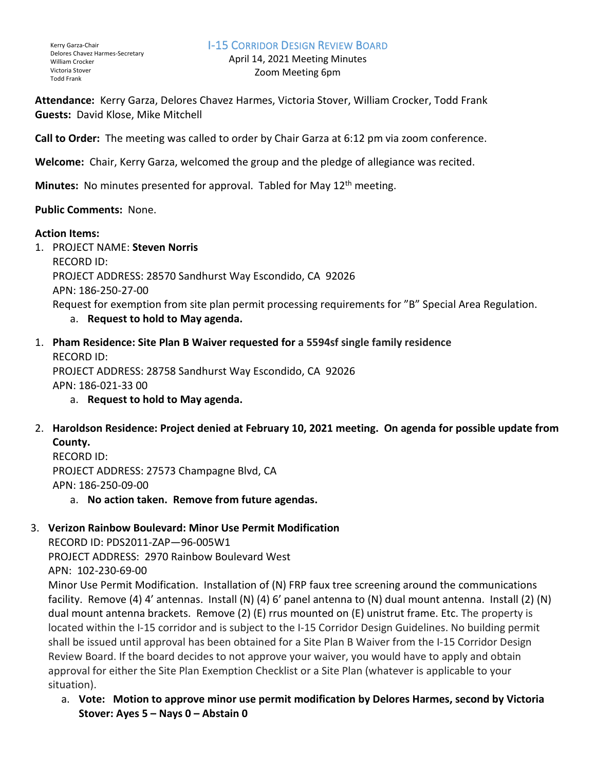## I-15 CORRIDOR DESIGN REVIEW BOARD

April 14, 2021 Meeting Minutes Zoom Meeting 6pm

**Attendance:** Kerry Garza, Delores Chavez Harmes, Victoria Stover, William Crocker, Todd Frank **Guests:** David Klose, Mike Mitchell

**Call to Order:** The meeting was called to order by Chair Garza at 6:12 pm via zoom conference.

**Welcome:** Chair, Kerry Garza, welcomed the group and the pledge of allegiance was recited.

**Minutes:** No minutes presented for approval. Tabled for May 12<sup>th</sup> meeting.

## **Public Comments:** None.

## **Action Items:**

1. PROJECT NAME: **Steven Norris** RECORD ID: PROJECT ADDRESS: 28570 Sandhurst Way Escondido, CA 92026 APN: 186-250-27-00 Request for exemption from site plan permit processing requirements for "B" Special Area Regulation. a. **Request to hold to May agenda.**

- 1. **Pham Residence: Site Plan B Waiver requested for a 5594sf single family residence** RECORD ID: PROJECT ADDRESS: 28758 Sandhurst Way Escondido, CA 92026 APN: 186-021-33 00
	- a. **Request to hold to May agenda.**
- 2. **Haroldson Residence: Project denied at February 10, 2021 meeting. On agenda for possible update from County.**

RECORD ID: PROJECT ADDRESS: 27573 Champagne Blvd, CA APN: 186-250-09-00

a. **No action taken. Remove from future agendas.**

## 3. **Verizon Rainbow Boulevard: Minor Use Permit Modification**

RECORD ID: PDS2011-ZAP—96-005W1 PROJECT ADDRESS: 2970 Rainbow Boulevard West APN: 102-230-69-00

Minor Use Permit Modification. Installation of (N) FRP faux tree screening around the communications facility. Remove (4) 4' antennas. Install (N) (4) 6' panel antenna to (N) dual mount antenna. Install (2) (N) dual mount antenna brackets. Remove (2) (E) rrus mounted on (E) unistrut frame. Etc. The property is located within the I-15 corridor and is subject to the I-15 Corridor Design Guidelines. No building permit shall be issued until approval has been obtained for a Site Plan B Waiver from the I-15 Corridor Design Review Board. If the board decides to not approve your waiver, you would have to apply and obtain approval for either the Site Plan Exemption Checklist or a Site Plan (whatever is applicable to your situation).

a. **Vote: Motion to approve minor use permit modification by Delores Harmes, second by Victoria Stover: Ayes 5 – Nays 0 – Abstain 0**